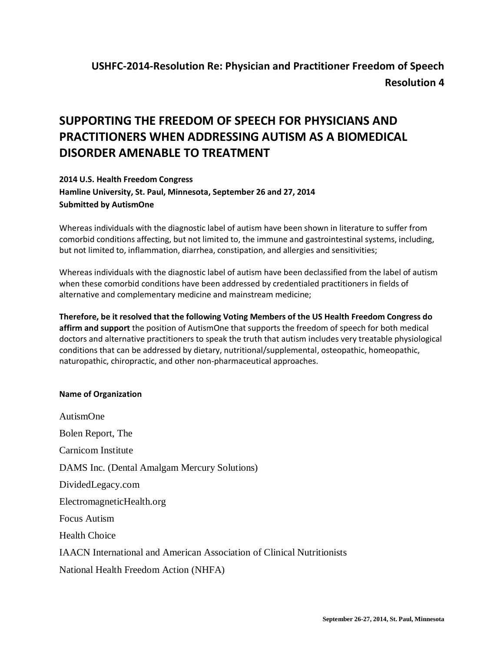## **SUPPORTING THE FREEDOM OF SPEECH FOR PHYSICIANS AND PRACTITIONERS WHEN ADDRESSING AUTISM AS A BIOMEDICAL DISORDER AMENABLE TO TREATMENT**

## **2014 U.S. Health Freedom Congress Hamline University, St. Paul, Minnesota, September 26 and 27, 2014 Submitted by AutismOne**

Whereas individuals with the diagnostic label of autism have been shown in literature to suffer from comorbid conditions affecting, but not limited to, the immune and gastrointestinal systems, including, but not limited to, inflammation, diarrhea, constipation, and allergies and sensitivities;

Whereas individuals with the diagnostic label of autism have been declassified from the label of autism when these comorbid conditions have been addressed by credentialed practitioners in fields of alternative and complementary medicine and mainstream medicine;

**Therefore, be it resolved that the following Voting Members of the US Health Freedom Congress do affirm and support** the position of AutismOne that supports the freedom of speech for both medical doctors and alternative practitioners to speak the truth that autism includes very treatable physiological conditions that can be addressed by dietary, nutritional/supplemental, osteopathic, homeopathic, naturopathic, chiropractic, and other non-pharmaceutical approaches.

## **Name of Organization**

AutismOne Bolen Report, The Carnicom Institute DAMS Inc. (Dental Amalgam Mercury Solutions) DividedLegacy.com ElectromagneticHealth.org Focus Autism Health Choice IAACN International and American Association of Clinical Nutritionists National Health Freedom Action (NHFA)